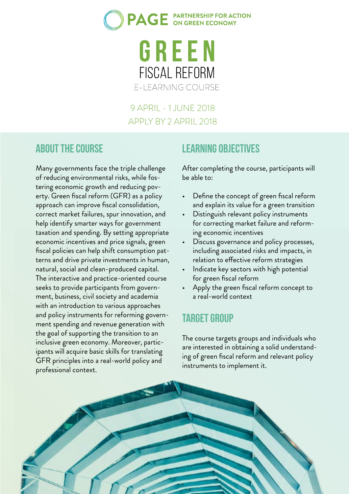

#### 9 APRIL - 1 JUNE 2018 APPLY BY 2 APRIL 2018

#### **About the course**

Many governments face the triple challenge of reducing environmental risks, while fostering economic growth and reducing poverty. Green fiscal reform (GFR) as a policy approach can improve fiscal consolidation, correct market failures, spur innovation, and help identify smarter ways for government taxation and spending. By setting appropriate economic incentives and price signals, green fiscal policies can help shift consumption patterns and drive private investments in human, natural, social and clean-produced capital. The interactive and practice-oriented course seeks to provide participants from government, business, civil society and academia with an introduction to various approaches and policy instruments for reforming government spending and revenue generation with the goal of supporting the transition to an inclusive green economy. Moreover, participants will acquire basic skills for translating GFR principles into a real-world policy and professional context.

## **Learning objectives**

After completing the course, participants will be able to:

- Define the concept of green fiscal reform and explain its value for a green transition
- Distinguish relevant policy instruments for correcting market failure and reforming economic incentives
- Discuss governance and policy processes, including associated risks and impacts, in relation to effective reform strategies
- Indicate key sectors with high potential for green fiscal reform
- Apply the green fiscal reform concept to a real-world context

#### **Target group**

The course targets groups and individuals who are interested in obtaining a solid understanding of green fiscal reform and relevant policy instruments to implement it.